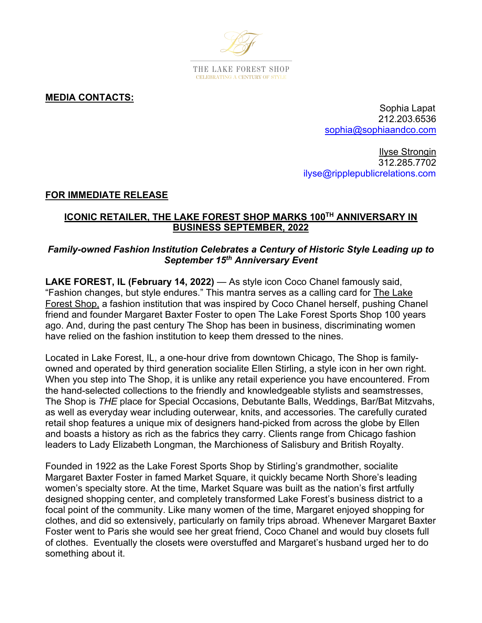

**MEDIA CONTACTS:**

Sophia Lapat 212.203.6536 sophia@sophiaandco.com

Ilyse Strongin 312.285.7702 ilyse@ripplepublicrelations.com

## **FOR IMMEDIATE RELEASE**

## **ICONIC RETAILER, THE LAKE FOREST SHOP MARKS 100TH ANNIVERSARY IN BUSINESS SEPTEMBER, 2022**

## *Family-owned Fashion Institution Celebrates a Century of Historic Style Leading up to September 15th Anniversary Event*

**LAKE FOREST, IL (February 14, 2022)** — As style icon Coco Chanel famously said, "Fashion changes, but style endures." This mantra serves as a calling card for The Lake Forest Shop, a fashion institution that was inspired by Coco Chanel herself, pushing Chanel friend and founder Margaret Baxter Foster to open The Lake Forest Sports Shop 100 years ago. And, during the past century The Shop has been in business, discriminating women have relied on the fashion institution to keep them dressed to the nines.

Located in Lake Forest, IL, a one-hour drive from downtown Chicago, The Shop is familyowned and operated by third generation socialite Ellen Stirling, a style icon in her own right. When you step into The Shop, it is unlike any retail experience you have encountered. From the hand-selected collections to the friendly and knowledgeable stylists and seamstresses, The Shop is *THE* place for Special Occasions, Debutante Balls, Weddings, Bar/Bat Mitzvahs, as well as everyday wear including outerwear, knits, and accessories. The carefully curated retail shop features a unique mix of designers hand-picked from across the globe by Ellen and boasts a history as rich as the fabrics they carry. Clients range from Chicago fashion leaders to Lady Elizabeth Longman, the Marchioness of Salisbury and British Royalty.

Founded in 1922 as the Lake Forest Sports Shop by Stirling's grandmother, socialite Margaret Baxter Foster in famed Market Square, it quickly became North Shore's leading women's specialty store. At the time, Market Square was built as the nation's first artfully designed shopping center, and completely transformed Lake Forest's business district to a focal point of the community. Like many women of the time, Margaret enjoyed shopping for clothes, and did so extensively, particularly on family trips abroad. Whenever Margaret Baxter Foster went to Paris she would see her great friend, Coco Chanel and would buy closets full of clothes. Eventually the closets were overstuffed and Margaret's husband urged her to do something about it.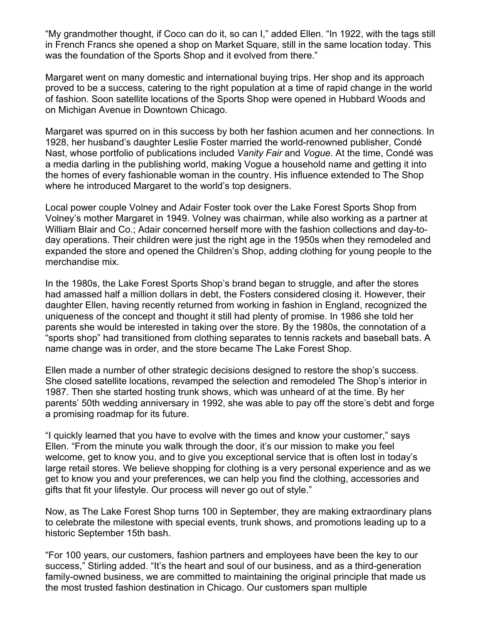"My grandmother thought, if Coco can do it, so can I," added Ellen. "In 1922, with the tags still in French Francs she opened a shop on Market Square, still in the same location today. This was the foundation of the Sports Shop and it evolved from there."

Margaret went on many domestic and international buying trips. Her shop and its approach proved to be a success, catering to the right population at a time of rapid change in the world of fashion. Soon satellite locations of the Sports Shop were opened in Hubbard Woods and on Michigan Avenue in Downtown Chicago.

Margaret was spurred on in this success by both her fashion acumen and her connections. In 1928, her husband's daughter Leslie Foster married the world-renowned publisher, Condé Nast, whose portfolio of publications included *Vanity Fair* and *Vogue*. At the time, Condé was a media darling in the publishing world, making Vogue a household name and getting it into the homes of every fashionable woman in the country. His influence extended to The Shop where he introduced Margaret to the world's top designers.

Local power couple Volney and Adair Foster took over the Lake Forest Sports Shop from Volney's mother Margaret in 1949. Volney was chairman, while also working as a partner at William Blair and Co.; Adair concerned herself more with the fashion collections and day-today operations. Their children were just the right age in the 1950s when they remodeled and expanded the store and opened the Children's Shop, adding clothing for young people to the merchandise mix.

In the 1980s, the Lake Forest Sports Shop's brand began to struggle, and after the stores had amassed half a million dollars in debt, the Fosters considered closing it. However, their daughter Ellen, having recently returned from working in fashion in England, recognized the uniqueness of the concept and thought it still had plenty of promise. In 1986 she told her parents she would be interested in taking over the store. By the 1980s, the connotation of a "sports shop" had transitioned from clothing separates to tennis rackets and baseball bats. A name change was in order, and the store became The Lake Forest Shop.

Ellen made a number of other strategic decisions designed to restore the shop's success. She closed satellite locations, revamped the selection and remodeled The Shop's interior in 1987. Then she started hosting trunk shows, which was unheard of at the time. By her parents' 50th wedding anniversary in 1992, she was able to pay off the store's debt and forge a promising roadmap for its future.

"I quickly learned that you have to evolve with the times and know your customer," says Ellen. "From the minute you walk through the door, it's our mission to make you feel welcome, get to know you, and to give you exceptional service that is often lost in today's large retail stores. We believe shopping for clothing is a very personal experience and as we get to know you and your preferences, we can help you find the clothing, accessories and gifts that fit your lifestyle. Our process will never go out of style."

Now, as The Lake Forest Shop turns 100 in September, they are making extraordinary plans to celebrate the milestone with special events, trunk shows, and promotions leading up to a historic September 15th bash.

"For 100 years, our customers, fashion partners and employees have been the key to our success," Stirling added. "It's the heart and soul of our business, and as a third-generation family-owned business, we are committed to maintaining the original principle that made us the most trusted fashion destination in Chicago. Our customers span multiple